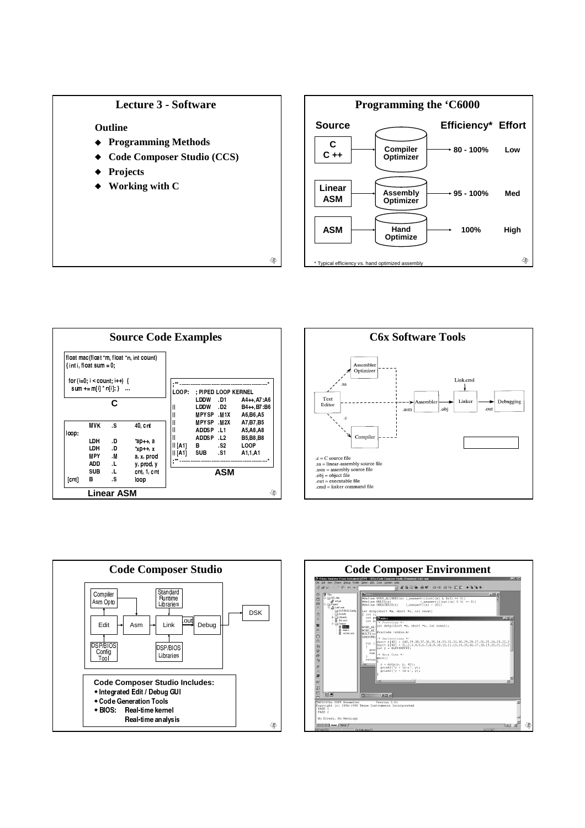## **Lecture 3 - Software**

Outline

- ◆ Programming Methods
- **Code Composer Studio (CCS)**  $\ddot{\bullet}$

⊕

- Projects
- Working with C









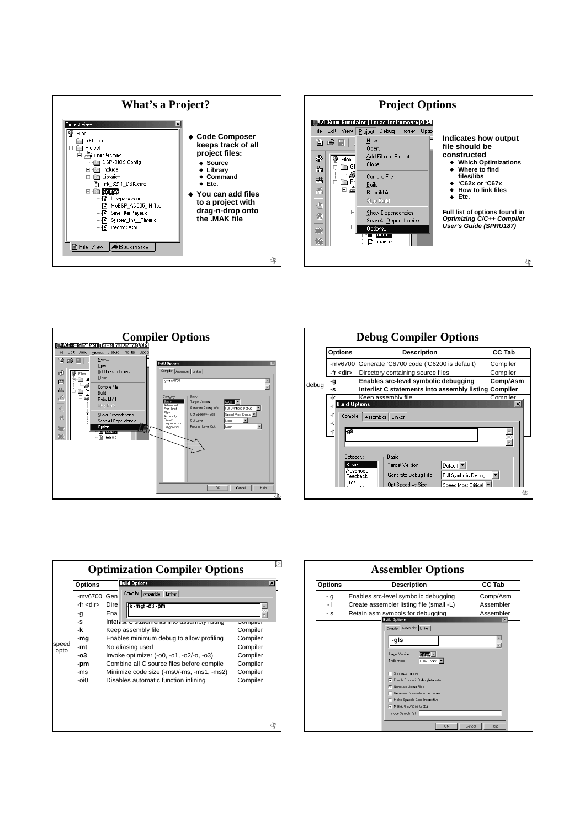